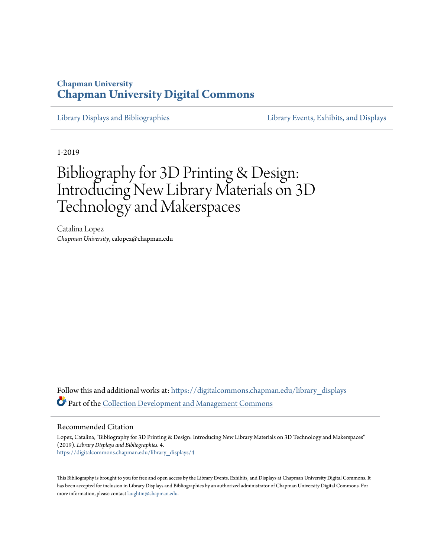# **Chapman University [Chapman University Digital Commons](https://digitalcommons.chapman.edu?utm_source=digitalcommons.chapman.edu%2Flibrary_displays%2F4&utm_medium=PDF&utm_campaign=PDFCoverPages)**

[Library Displays and Bibliographies](https://digitalcommons.chapman.edu/library_displays?utm_source=digitalcommons.chapman.edu%2Flibrary_displays%2F4&utm_medium=PDF&utm_campaign=PDFCoverPages) [Library Events, Exhibits, and Displays](https://digitalcommons.chapman.edu/library_events?utm_source=digitalcommons.chapman.edu%2Flibrary_displays%2F4&utm_medium=PDF&utm_campaign=PDFCoverPages)

1-2019

# Bibliography for 3D Printing & Design: Introducing New Library Materials on 3D Technology and Makerspaces

Catalina Lopez *Chapman University*, calopez@chapman.edu

Follow this and additional works at: [https://digitalcommons.chapman.edu/library\\_displays](https://digitalcommons.chapman.edu/library_displays?utm_source=digitalcommons.chapman.edu%2Flibrary_displays%2F4&utm_medium=PDF&utm_campaign=PDFCoverPages) Part of the [Collection Development and Management Commons](http://network.bepress.com/hgg/discipline/1271?utm_source=digitalcommons.chapman.edu%2Flibrary_displays%2F4&utm_medium=PDF&utm_campaign=PDFCoverPages)

#### Recommended Citation

Lopez, Catalina, "Bibliography for 3D Printing & Design: Introducing New Library Materials on 3D Technology and Makerspaces" (2019). *Library Displays and Bibliographies*. 4. [https://digitalcommons.chapman.edu/library\\_displays/4](https://digitalcommons.chapman.edu/library_displays/4?utm_source=digitalcommons.chapman.edu%2Flibrary_displays%2F4&utm_medium=PDF&utm_campaign=PDFCoverPages)

This Bibliography is brought to you for free and open access by the Library Events, Exhibits, and Displays at Chapman University Digital Commons. It has been accepted for inclusion in Library Displays and Bibliographies by an authorized administrator of Chapman University Digital Commons. For more information, please contact [laughtin@chapman.edu](mailto:laughtin@chapman.edu).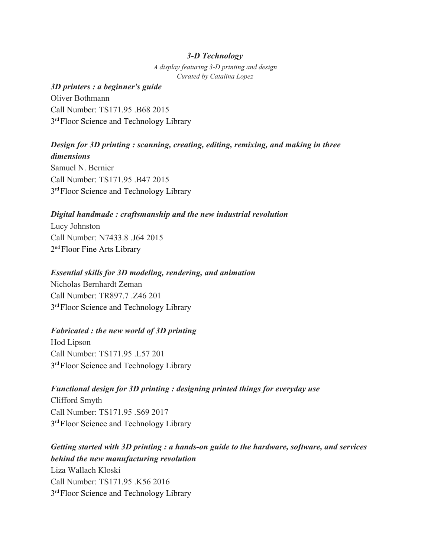#### *3-D Technology*

*A display featuring 3-D printing and design Curated by Catalina Lopez*

#### *3D printers : a beginner's guide*

Oliver Bothmann Call Number: TS171.95, B68.2015. 3<sup>rd</sup> Floor Science and Technology Library

#### *Design for 3D printing : scanning, creating, editing, remixing, and making in three dimensions*

Samuel N. Bernier Call Number: TS171.95 .B47 2015 3<sup>rd</sup> Floor Science and Technology Library

#### *Digital handmade : craftsmanship and the new industrial revolution*

Lucy Johnston Call Number: N7433.8 .J64 2015 2<sup>nd</sup> Floor Fine Arts Library

#### *Essential skills for 3D modeling, rendering, and animation*

Nicholas Bernhardt Zeman Call Number: TR897 7 .746 201 3<sup>rd</sup> Floor Science and Technology Library

#### *Fabricated : the new world of 3D printing*

Hod Lipson Call Number: TS171.95 .L57 201 3<sup>rd</sup> Floor Science and Technology Library

#### *Functional design for 3D printing : designing printed things for everyday use*

Clifford Smyth Call Number: TS171.95 .S69 2017 3<sup>rd</sup> Floor Science and Technology Library

# *Getting started with 3D printing : a hands-on guide to the hardware, software, and services behind the new manufacturing revolution* Liza Wallach Kloski Call Number: TS171.95, K56, 2016 3<sup>rd</sup> Floor Science and Technology Library